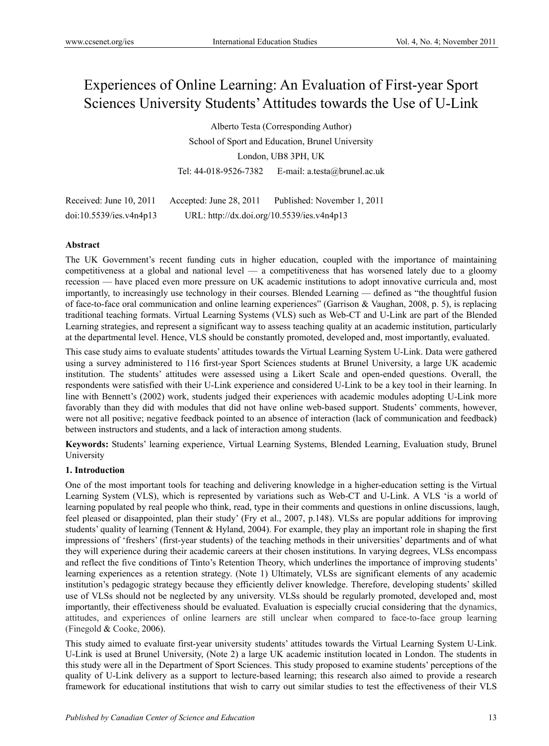# Experiences of Online Learning: An Evaluation of First-year Sport Sciences University Students' Attitudes towards the Use of U-Link

Alberto Testa (Corresponding Author)

School of Sport and Education, Brunel University

London, UB8 3PH, UK

Tel: 44-018-9526-7382 E-mail: a.testa@brunel.ac.uk

| Received: June 10, 2011 | Accepted: June $28, 2011$                  | Published: November 1, 2011 |
|-------------------------|--------------------------------------------|-----------------------------|
| doi:10.5539/ies.v4n4p13 | URL: http://dx.doi.org/10.5539/ies.v4n4p13 |                             |

# **Abstract**

The UK Government's recent funding cuts in higher education, coupled with the importance of maintaining competitiveness at a global and national level — a competitiveness that has worsened lately due to a gloomy recession — have placed even more pressure on UK academic institutions to adopt innovative curricula and, most importantly, to increasingly use technology in their courses. Blended Learning — defined as "the thoughtful fusion of face-to-face oral communication and online learning experiences" (Garrison & Vaughan, 2008, p. 5), is replacing traditional teaching formats. Virtual Learning Systems (VLS) such as Web-CT and U-Link are part of the Blended Learning strategies, and represent a significant way to assess teaching quality at an academic institution, particularly at the departmental level. Hence, VLS should be constantly promoted, developed and, most importantly, evaluated.

This case study aims to evaluate students' attitudes towards the Virtual Learning System U-Link. Data were gathered using a survey administered to 116 first-year Sport Sciences students at Brunel University, a large UK academic institution. The students' attitudes were assessed using a Likert Scale and open-ended questions. Overall, the respondents were satisfied with their U-Link experience and considered U-Link to be a key tool in their learning. In line with Bennett's (2002) work, students judged their experiences with academic modules adopting U-Link more favorably than they did with modules that did not have online web-based support. Students' comments, however, were not all positive; negative feedback pointed to an absence of interaction (lack of communication and feedback) between instructors and students, and a lack of interaction among students.

**Keywords:** Students' learning experience, Virtual Learning Systems, Blended Learning, Evaluation study, Brunel University

#### **1. Introduction**

One of the most important tools for teaching and delivering knowledge in a higher-education setting is the Virtual Learning System (VLS), which is represented by variations such as Web-CT and U-Link. A VLS 'is a world of learning populated by real people who think, read, type in their comments and questions in online discussions, laugh, feel pleased or disappointed, plan their study' (Fry et al., 2007, p.148). VLSs are popular additions for improving students' quality of learning (Tennent & Hyland, 2004). For example, they play an important role in shaping the first impressions of 'freshers' (first-year students) of the teaching methods in their universities' departments and of what they will experience during their academic careers at their chosen institutions. In varying degrees, VLSs encompass and reflect the five conditions of Tinto's Retention Theory, which underlines the importance of improving students' learning experiences as a retention strategy. (Note 1) Ultimately, VLSs are significant elements of any academic institution's pedagogic strategy because they efficiently deliver knowledge. Therefore, developing students' skilled use of VLSs should not be neglected by any university. VLSs should be regularly promoted, developed and, most importantly, their effectiveness should be evaluated. Evaluation is especially crucial considering that the dynamics, attitudes, and experiences of online learners are still unclear when compared to face-to-face group learning (Finegold & Cooke, 2006).

This study aimed to evaluate first-year university students' attitudes towards the Virtual Learning System U-Link. U-Link is used at Brunel University, (Note 2) a large UK academic institution located in London. The students in this study were all in the Department of Sport Sciences. This study proposed to examine students' perceptions of the quality of U-Link delivery as a support to lecture-based learning; this research also aimed to provide a research framework for educational institutions that wish to carry out similar studies to test the effectiveness of their VLS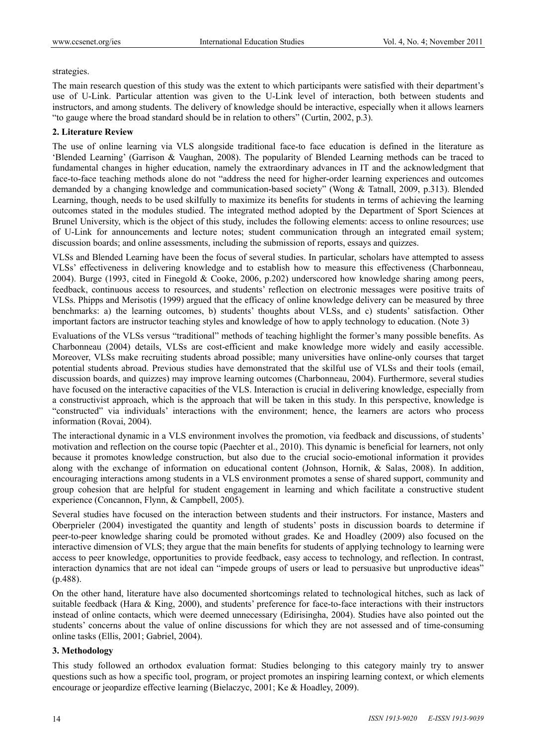#### strategies.

The main research question of this study was the extent to which participants were satisfied with their department's use of U-Link. Particular attention was given to the U-Link level of interaction, both between students and instructors, and among students. The delivery of knowledge should be interactive, especially when it allows learners "to gauge where the broad standard should be in relation to others" (Curtin, 2002, p.3).

#### **2. Literature Review**

The use of online learning via VLS alongside traditional face-to face education is defined in the literature as 'Blended Learning' (Garrison & Vaughan, 2008). The popularity of Blended Learning methods can be traced to fundamental changes in higher education, namely the extraordinary advances in IT and the acknowledgment that face-to-face teaching methods alone do not "address the need for higher-order learning experiences and outcomes demanded by a changing knowledge and communication-based society" (Wong & Tatnall, 2009, p.313). Blended Learning, though, needs to be used skilfully to maximize its benefits for students in terms of achieving the learning outcomes stated in the modules studied. The integrated method adopted by the Department of Sport Sciences at Brunel University, which is the object of this study, includes the following elements: access to online resources; use of U-Link for announcements and lecture notes; student communication through an integrated email system; discussion boards; and online assessments, including the submission of reports, essays and quizzes.

VLSs and Blended Learning have been the focus of several studies. In particular, scholars have attempted to assess VLSs' effectiveness in delivering knowledge and to establish how to measure this effectiveness (Charbonneau, 2004). Burge (1993, cited in Finegold & Cooke, 2006, p.202) underscored how knowledge sharing among peers, feedback, continuous access to resources, and students' reflection on electronic messages were positive traits of VLSs. Phipps and Merisotis (1999) argued that the efficacy of online knowledge delivery can be measured by three benchmarks: a) the learning outcomes, b) students' thoughts about VLSs, and c) students' satisfaction. Other important factors are instructor teaching styles and knowledge of how to apply technology to education. (Note 3)

Evaluations of the VLSs versus "traditional" methods of teaching highlight the former's many possible benefits. As Charbonneau (2004) details, VLSs are cost-efficient and make knowledge more widely and easily accessible. Moreover, VLSs make recruiting students abroad possible; many universities have online-only courses that target potential students abroad. Previous studies have demonstrated that the skilful use of VLSs and their tools (email, discussion boards, and quizzes) may improve learning outcomes (Charbonneau, 2004). Furthermore, several studies have focused on the interactive capacities of the VLS. Interaction is crucial in delivering knowledge, especially from a constructivist approach, which is the approach that will be taken in this study. In this perspective, knowledge is "constructed" via individuals' interactions with the environment; hence, the learners are actors who process information (Rovai, 2004).

The interactional dynamic in a VLS environment involves the promotion, via feedback and discussions, of students' motivation and reflection on the course topic (Paechter et al., 2010). This dynamic is beneficial for learners, not only because it promotes knowledge construction, but also due to the crucial socio-emotional information it provides along with the exchange of information on educational content (Johnson, Hornik, & Salas, 2008). In addition, encouraging interactions among students in a VLS environment promotes a sense of shared support, community and group cohesion that are helpful for student engagement in learning and which facilitate a constructive student experience (Concannon, Flynn, & Campbell, 2005).

Several studies have focused on the interaction between students and their instructors. For instance, Masters and Oberprieler (2004) investigated the quantity and length of students' posts in discussion boards to determine if peer-to-peer knowledge sharing could be promoted without grades. Ke and Hoadley (2009) also focused on the interactive dimension of VLS; they argue that the main benefits for students of applying technology to learning were access to peer knowledge, opportunities to provide feedback, easy access to technology, and reflection. In contrast, interaction dynamics that are not ideal can "impede groups of users or lead to persuasive but unproductive ideas" (p.488).

On the other hand, literature have also documented shortcomings related to technological hitches, such as lack of suitable feedback (Hara & King, 2000), and students' preference for face-to-face interactions with their instructors instead of online contacts, which were deemed unnecessary (Edirisingha, 2004). Studies have also pointed out the students' concerns about the value of online discussions for which they are not assessed and of time-consuming online tasks (Ellis, 2001; Gabriel, 2004).

#### **3. Methodology**

This study followed an orthodox evaluation format: Studies belonging to this category mainly try to answer questions such as how a specific tool, program, or project promotes an inspiring learning context, or which elements encourage or jeopardize effective learning (Bielaczyc, 2001; Ke & Hoadley, 2009).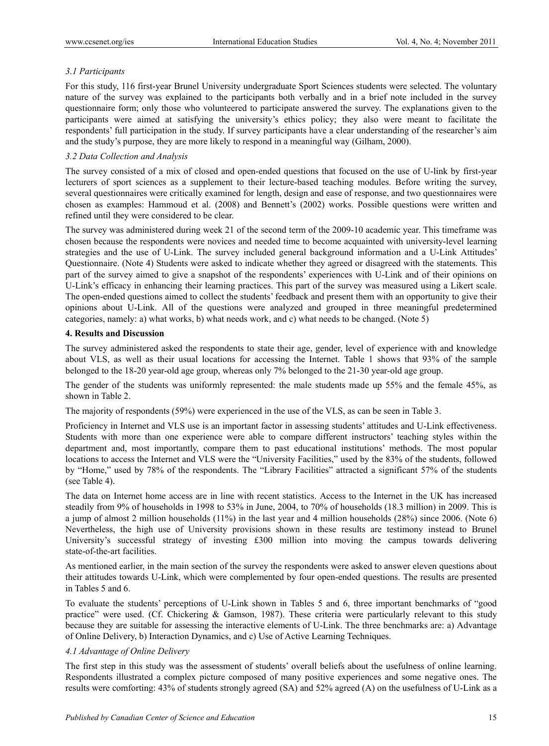## *3.1 Participants*

For this study, 116 first-year Brunel University undergraduate Sport Sciences students were selected. The voluntary nature of the survey was explained to the participants both verbally and in a brief note included in the survey questionnaire form; only those who volunteered to participate answered the survey. The explanations given to the participants were aimed at satisfying the university's ethics policy; they also were meant to facilitate the respondents' full participation in the study. If survey participants have a clear understanding of the researcher's aim and the study's purpose, they are more likely to respond in a meaningful way (Gilham, 2000).

#### *3.2 Data Collection and Analysis*

The survey consisted of a mix of closed and open-ended questions that focused on the use of U-link by first-year lecturers of sport sciences as a supplement to their lecture-based teaching modules. Before writing the survey, several questionnaires were critically examined for length, design and ease of response, and two questionnaires were chosen as examples: Hammoud et al. (2008) and Bennett's (2002) works. Possible questions were written and refined until they were considered to be clear.

The survey was administered during week 21 of the second term of the 2009-10 academic year. This timeframe was chosen because the respondents were novices and needed time to become acquainted with university-level learning strategies and the use of U-Link. The survey included general background information and a U-Link Attitudes' Questionnaire. (Note 4) Students were asked to indicate whether they agreed or disagreed with the statements. This part of the survey aimed to give a snapshot of the respondents' experiences with U-Link and of their opinions on U-Link's efficacy in enhancing their learning practices. This part of the survey was measured using a Likert scale. The open-ended questions aimed to collect the students' feedback and present them with an opportunity to give their opinions about U-Link. All of the questions were analyzed and grouped in three meaningful predetermined categories, namely: a) what works, b) what needs work, and c) what needs to be changed. (Note 5)

#### **4. Results and Discussion**

The survey administered asked the respondents to state their age, gender, level of experience with and knowledge about VLS, as well as their usual locations for accessing the Internet. Table 1 shows that 93% of the sample belonged to the 18-20 year-old age group, whereas only 7% belonged to the 21-30 year-old age group.

The gender of the students was uniformly represented: the male students made up 55% and the female 45%, as shown in Table 2.

The majority of respondents (59%) were experienced in the use of the VLS, as can be seen in Table 3.

Proficiency in Internet and VLS use is an important factor in assessing students' attitudes and U-Link effectiveness. Students with more than one experience were able to compare different instructors' teaching styles within the department and, most importantly, compare them to past educational institutions' methods. The most popular locations to access the Internet and VLS were the "University Facilities," used by the 83% of the students, followed by "Home," used by 78% of the respondents. The "Library Facilities" attracted a significant 57% of the students (see Table 4).

The data on Internet home access are in line with recent statistics. Access to the Internet in the UK has increased steadily from 9% of households in 1998 to 53% in June, 2004, to 70% of households (18.3 million) in 2009. This is a jump of almost 2 million households (11%) in the last year and 4 million households (28%) since 2006. (Note 6) Nevertheless, the high use of University provisions shown in these results are testimony instead to Brunel University's successful strategy of investing £300 million into moving the campus towards delivering state-of-the-art facilities.

As mentioned earlier, in the main section of the survey the respondents were asked to answer eleven questions about their attitudes towards U-Link, which were complemented by four open-ended questions. The results are presented in Tables 5 and 6.

To evaluate the students' perceptions of U-Link shown in Tables 5 and 6, three important benchmarks of "good practice" were used. (Cf. Chickering & Gamson, 1987). These criteria were particularly relevant to this study because they are suitable for assessing the interactive elements of U-Link. The three benchmarks are: a) Advantage of Online Delivery, b) Interaction Dynamics, and c) Use of Active Learning Techniques.

#### *4.1 Advantage of Online Delivery*

The first step in this study was the assessment of students' overall beliefs about the usefulness of online learning. Respondents illustrated a complex picture composed of many positive experiences and some negative ones. The results were comforting: 43% of students strongly agreed (SA) and 52% agreed (A) on the usefulness of U-Link as a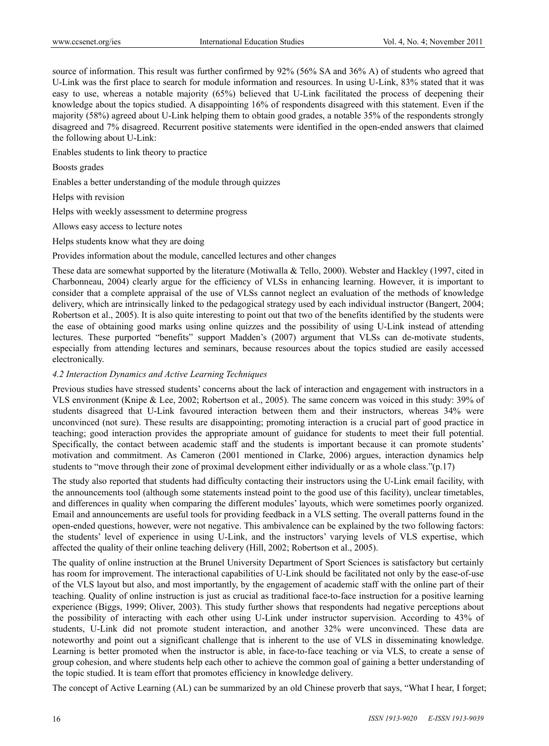source of information. This result was further confirmed by 92% (56% SA and 36% A) of students who agreed that U-Link was the first place to search for module information and resources. In using U-Link, 83% stated that it was easy to use, whereas a notable majority (65%) believed that U-Link facilitated the process of deepening their knowledge about the topics studied. A disappointing 16% of respondents disagreed with this statement. Even if the majority (58%) agreed about U-Link helping them to obtain good grades, a notable 35% of the respondents strongly disagreed and 7% disagreed. Recurrent positive statements were identified in the open-ended answers that claimed the following about U-Link:

Enables students to link theory to practice

Boosts grades

Enables a better understanding of the module through quizzes

Helps with revision

Helps with weekly assessment to determine progress

Allows easy access to lecture notes

Helps students know what they are doing

Provides information about the module, cancelled lectures and other changes

These data are somewhat supported by the literature (Motiwalla & Tello, 2000). Webster and Hackley (1997, cited in Charbonneau, 2004) clearly argue for the efficiency of VLSs in enhancing learning. However, it is important to consider that a complete appraisal of the use of VLSs cannot neglect an evaluation of the methods of knowledge delivery, which are intrinsically linked to the pedagogical strategy used by each individual instructor (Bangert, 2004; Robertson et al., 2005). It is also quite interesting to point out that two of the benefits identified by the students were the ease of obtaining good marks using online quizzes and the possibility of using U-Link instead of attending lectures. These purported "benefits" support Madden's (2007) argument that VLSs can de-motivate students, especially from attending lectures and seminars, because resources about the topics studied are easily accessed electronically.

#### *4.2 Interaction Dynamics and Active Learning Techniques*

Previous studies have stressed students' concerns about the lack of interaction and engagement with instructors in a VLS environment (Knipe & Lee, 2002; Robertson et al., 2005). The same concern was voiced in this study: 39% of students disagreed that U-Link favoured interaction between them and their instructors, whereas 34% were unconvinced (not sure). These results are disappointing; promoting interaction is a crucial part of good practice in teaching; good interaction provides the appropriate amount of guidance for students to meet their full potential. Specifically, the contact between academic staff and the students is important because it can promote students' motivation and commitment. As Cameron (2001 mentioned in Clarke, 2006) argues, interaction dynamics help students to "move through their zone of proximal development either individually or as a whole class."(p.17)

The study also reported that students had difficulty contacting their instructors using the U-Link email facility, with the announcements tool (although some statements instead point to the good use of this facility), unclear timetables, and differences in quality when comparing the different modules' layouts, which were sometimes poorly organized. Email and announcements are useful tools for providing feedback in a VLS setting. The overall patterns found in the open-ended questions, however, were not negative. This ambivalence can be explained by the two following factors: the students' level of experience in using U-Link, and the instructors' varying levels of VLS expertise, which affected the quality of their online teaching delivery (Hill, 2002; Robertson et al., 2005).

The quality of online instruction at the Brunel University Department of Sport Sciences is satisfactory but certainly has room for improvement. The interactional capabilities of U-Link should be facilitated not only by the ease-of-use of the VLS layout but also, and most importantly, by the engagement of academic staff with the online part of their teaching. Quality of online instruction is just as crucial as traditional face-to-face instruction for a positive learning experience (Biggs, 1999; Oliver, 2003). This study further shows that respondents had negative perceptions about the possibility of interacting with each other using U-Link under instructor supervision. According to 43% of students, U-Link did not promote student interaction, and another 32% were unconvinced. These data are noteworthy and point out a significant challenge that is inherent to the use of VLS in disseminating knowledge. Learning is better promoted when the instructor is able, in face-to-face teaching or via VLS, to create a sense of group cohesion, and where students help each other to achieve the common goal of gaining a better understanding of the topic studied. It is team effort that promotes efficiency in knowledge delivery.

The concept of Active Learning (AL) can be summarized by an old Chinese proverb that says, "What I hear, I forget;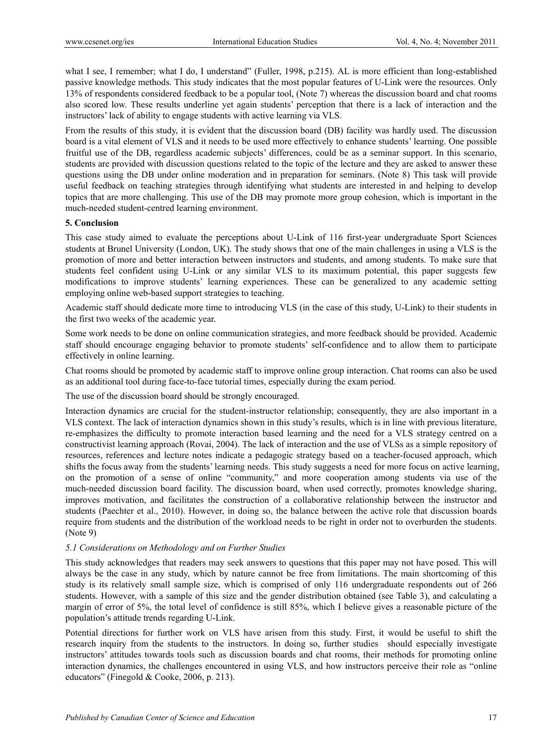what I see, I remember; what I do, I understand" (Fuller, 1998, p.215). AL is more efficient than long-established passive knowledge methods. This study indicates that the most popular features of U-Link were the resources. Only 13% of respondents considered feedback to be a popular tool, (Note 7) whereas the discussion board and chat rooms also scored low. These results underline yet again students' perception that there is a lack of interaction and the instructors' lack of ability to engage students with active learning via VLS.

From the results of this study, it is evident that the discussion board (DB) facility was hardly used. The discussion board is a vital element of VLS and it needs to be used more effectively to enhance students' learning. One possible fruitful use of the DB, regardless academic subjects' differences, could be as a seminar support. In this scenario, students are provided with discussion questions related to the topic of the lecture and they are asked to answer these questions using the DB under online moderation and in preparation for seminars. (Note 8) This task will provide useful feedback on teaching strategies through identifying what students are interested in and helping to develop topics that are more challenging. This use of the DB may promote more group cohesion, which is important in the much-needed student-centred learning environment.

#### **5. Conclusion**

This case study aimed to evaluate the perceptions about U-Link of 116 first-year undergraduate Sport Sciences students at Brunel University (London, UK). The study shows that one of the main challenges in using a VLS is the promotion of more and better interaction between instructors and students, and among students. To make sure that students feel confident using U-Link or any similar VLS to its maximum potential, this paper suggests few modifications to improve students' learning experiences. These can be generalized to any academic setting employing online web-based support strategies to teaching.

Academic staff should dedicate more time to introducing VLS (in the case of this study, U-Link) to their students in the first two weeks of the academic year.

Some work needs to be done on online communication strategies, and more feedback should be provided. Academic staff should encourage engaging behavior to promote students' self-confidence and to allow them to participate effectively in online learning.

Chat rooms should be promoted by academic staff to improve online group interaction. Chat rooms can also be used as an additional tool during face-to-face tutorial times, especially during the exam period.

The use of the discussion board should be strongly encouraged.

Interaction dynamics are crucial for the student-instructor relationship; consequently, they are also important in a VLS context. The lack of interaction dynamics shown in this study's results, which is in line with previous literature, re-emphasizes the difficulty to promote interaction based learning and the need for a VLS strategy centred on a constructivist learning approach (Rovai, 2004). The lack of interaction and the use of VLSs as a simple repository of resources, references and lecture notes indicate a pedagogic strategy based on a teacher-focused approach, which shifts the focus away from the students' learning needs. This study suggests a need for more focus on active learning, on the promotion of a sense of online "community," and more cooperation among students via use of the much-needed discussion board facility. The discussion board, when used correctly, promotes knowledge sharing, improves motivation, and facilitates the construction of a collaborative relationship between the instructor and students (Paechter et al., 2010). However, in doing so, the balance between the active role that discussion boards require from students and the distribution of the workload needs to be right in order not to overburden the students. (Note 9)

#### *5.1 Considerations on Methodology and on Further Studies*

This study acknowledges that readers may seek answers to questions that this paper may not have posed. This will always be the case in any study, which by nature cannot be free from limitations. The main shortcoming of this study is its relatively small sample size, which is comprised of only 116 undergraduate respondents out of 266 students. However, with a sample of this size and the gender distribution obtained (see Table 3), and calculating a margin of error of 5%, the total level of confidence is still 85%, which I believe gives a reasonable picture of the population's attitude trends regarding U-Link.

Potential directions for further work on VLS have arisen from this study. First, it would be useful to shift the research inquiry from the students to the instructors. In doing so, further studies should especially investigate instructors' attitudes towards tools such as discussion boards and chat rooms, their methods for promoting online interaction dynamics, the challenges encountered in using VLS, and how instructors perceive their role as "online educators" (Finegold & Cooke, 2006, p. 213).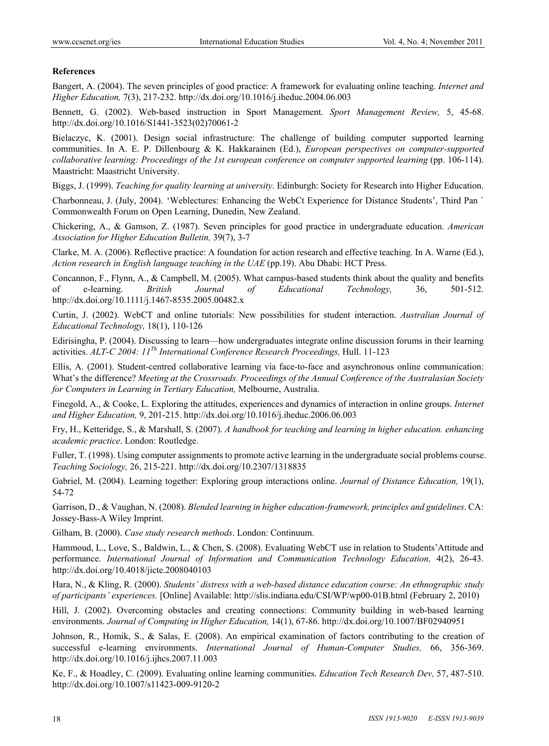#### **References**

Bangert, A. (2004). The seven principles of good practice: A framework for evaluating online teaching. *Internet and Higher Education,* 7(3), 217-232. http://dx.doi.org/10.1016/j.iheduc.2004.06.003

Bennett, G. (2002). Web-based instruction in Sport Management. *Sport Management Review,* 5, 45-68. http://dx.doi.org/10.1016/S1441-3523(02)70061-2

Bielaczyc, K. (2001). Design social infrastructure: The challenge of building computer supported learning communities. In A. E. P. Dillenbourg & K. Hakkarainen (Ed.), *European perspectives on computer-supported collaborative learning: Proceedings of the 1st european conference on computer supported learning (pp. 106-114).* Maastricht: Maastricht University.

Biggs, J. (1999). *Teaching for quality learning at university*. Edinburgh: Society for Research into Higher Education.

Charbonneau, J. (July, 2004). 'Weblectures: Enhancing the WebCt Experience for Distance Students', Third Pan ` Commonwealth Forum on Open Learning, Dunedin, New Zealand.

Chickering, A., & Gamson, Z. (1987). Seven principles for good practice in undergraduate education. *American Association for Higher Education Bulletin,* 39(7), 3-7

Clarke, M. A. (2006). Reflective practice: A foundation for action research and effective teaching. In A. Warne (Ed.), *Action research in English language teaching in the UAE* (pp.19). Abu Dhabi: HCT Press.

Concannon, F., Flynn, A., & Campbell, M. (2005). What campus-based students think about the quality and benefits of e-learning. *British Journal of Educational Technology,* 36, 501-512. http://dx.doi.org/10.1111/j.1467-8535.2005.00482.x

Curtin, J. (2002). WebCT and online tutorials: New possibilities for student interaction. *Australian Journal of Educational Technology,* 18(1), 110-126

Edirisingha, P. (2004). Discussing to learn—how undergraduates integrate online discussion forums in their learning activities. *ALT-C 2004: 11Th International Conference Research Proceedings,* Hull. 11-123

Ellis, A. (2001). Student-centred collaborative learning via face-to-face and asynchronous online communication: What's the difference? *Meeting at the Crossroads. Proceedings of the Annual Conference of the Australasian Society for Computers in Learning in Tertiary Education,* Melbourne, Australia.

Finegold, A., & Cooke, L. Exploring the attitudes, experiences and dynamics of interaction in online groups. *Internet and Higher Education,* 9, 201-215. http://dx.doi.org/10.1016/j.iheduc.2006.06.003

Fry, H., Ketteridge, S., & Marshall, S. (2007). *A handbook for teaching and learning in higher education. enhancing academic practice*. London: Routledge.

Fuller, T. (1998). Using computer assignments to promote active learning in the undergraduate social problems course. *Teaching Sociology,* 26, 215-221. http://dx.doi.org/10.2307/1318835

Gabriel, M. (2004). Learning together: Exploring group interactions online. *Journal of Distance Education,* 19(1), 54-72

Garrison, D., & Vaughan, N. (2008). *Blended learning in higher education-framework, principles and guidelines*. CA: Jossey-Bass-A Wiley Imprint.

Gilham, B. (2000). *Case study research methods*. London: Continuum.

Hammoud, L., Love, S., Baldwin, L., & Chen, S. (2008). Evaluating WebCT use in relation to Students'Attitude and performance. *International Journal of Information and Communication Technology Education,* 4(2), 26-43. http://dx.doi.org/10.4018/jicte.2008040103

Hara, N., & Kling, R. (2000). *Students' distress with a web-based distance education course: An ethnographic study of participants' experiences.* [Online] Available: http://slis.indiana.edu/CSI/WP/wp00-01B.html (February 2, 2010)

Hill, J. (2002). Overcoming obstacles and creating connections: Community building in web-based learning environments. *Journal of Computing in Higher Education,* 14(1), 67-86. http://dx.doi.org/10.1007/BF02940951

Johnson, R., Homik, S., & Salas, E. (2008). An empirical examination of factors contributing to the creation of successful e-learning environments. *International Journal of Human-Computer Studies,* 66, 356-369. http://dx.doi.org/10.1016/j.ijhcs.2007.11.003

Ke, F., & Hoadley, C. (2009). Evaluating online learning communities. *Education Tech Research Dev,* 57, 487-510. http://dx.doi.org/10.1007/s11423-009-9120-2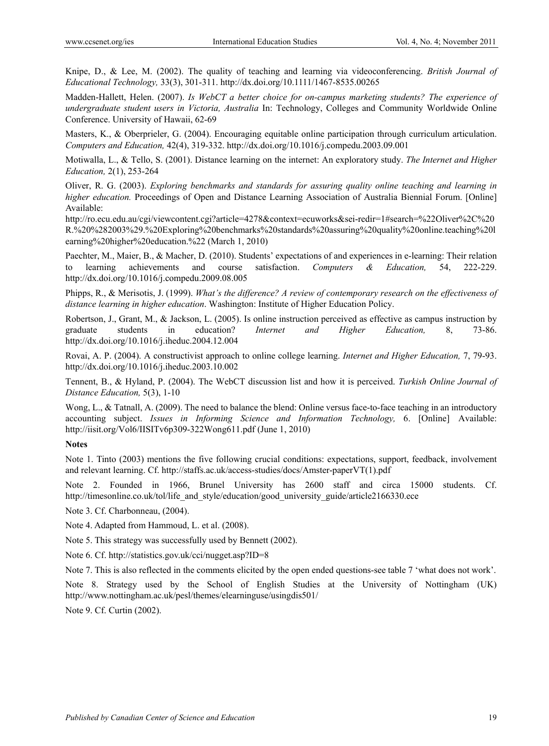Knipe, D., & Lee, M. (2002). The quality of teaching and learning via videoconferencing. *British Journal of Educational Technology,* 33(3), 301-311. http://dx.doi.org/10.1111/1467-8535.00265

Madden-Hallett, Helen. (2007). *Is WebCT a better choice for on-campus marketing students? The experience of undergraduate student users in Victoria, Australia* In: Technology, Colleges and Community Worldwide Online Conference. University of Hawaii, 62-69

Masters, K., & Oberprieler, G. (2004). Encouraging equitable online participation through curriculum articulation. *Computers and Education,* 42(4), 319-332. http://dx.doi.org/10.1016/j.compedu.2003.09.001

Motiwalla, L., & Tello, S. (2001). Distance learning on the internet: An exploratory study. *The Internet and Higher Education,* 2(1), 253-264

Oliver, R. G. (2003). *Exploring benchmarks and standards for assuring quality online teaching and learning in higher education.* Proceedings of Open and Distance Learning Association of Australia Biennial Forum. [Online] Available:

http://ro.ecu.edu.au/cgi/viewcontent.cgi?article=4278&context=ecuworks&sei-redir=1#search=%22Oliver%2C%20 R.%20%282003%29.%20Exploring%20benchmarks%20standards%20assuring%20quality%20online.teaching%20l earning%20higher%20education.%22 (March 1, 2010)

Paechter, M., Maier, B., & Macher, D. (2010). Students' expectations of and experiences in e-learning: Their relation to learning achievements and course satisfaction. *Computers & Education,* 54, 222-229. http://dx.doi.org/10.1016/j.compedu.2009.08.005

Phipps, R., & Merisotis, J. (1999). *What's the difference? A review of contemporary research on the effectiveness of distance learning in higher education*. Washington: Institute of Higher Education Policy.

Robertson, J., Grant, M., & Jackson, L. (2005). Is online instruction perceived as effective as campus instruction by graduate students in education? *Internet and Higher Education,* 8, 73-86. http://dx.doi.org/10.1016/j.iheduc.2004.12.004

Rovai, A. P. (2004). A constructivist approach to online college learning. *Internet and Higher Education,* 7, 79-93. http://dx.doi.org/10.1016/j.iheduc.2003.10.002

Tennent, B., & Hyland, P. (2004). The WebCT discussion list and how it is perceived. *Turkish Online Journal of Distance Education,* 5(3), 1-10

Wong, L., & Tatnall, A. (2009). The need to balance the blend: Online versus face-to-face teaching in an introductory accounting subject. *Issues in Informing Science and Information Technology,* 6. [Online] Available: http://iisit.org/Vol6/IISITv6p309-322Wong611.pdf (June 1, 2010)

#### **Notes**

Note 1. Tinto (2003) mentions the five following crucial conditions: expectations, support, feedback, involvement and relevant learning. Cf. http://staffs.ac.uk/access-studies/docs/Amster-paperVT(1).pdf

Note 2. Founded in 1966, Brunel University has 2600 staff and circa 15000 students. Cf. http://timesonline.co.uk/tol/life\_and\_style/education/good\_university\_guide/article2166330.ece

Note 3. Cf. Charbonneau, (2004).

Note 4. Adapted from Hammoud, L. et al. (2008).

Note 5. This strategy was successfully used by Bennett (2002).

Note 6. Cf. http://statistics.gov.uk/cci/nugget.asp?ID=8

Note 7. This is also reflected in the comments elicited by the open ended questions-see table 7 'what does not work'.

Note 8. Strategy used by the School of English Studies at the University of Nottingham (UK) http://www.nottingham.ac.uk/pesl/themes/elearninguse/usingdis501/

Note 9. Cf. Curtin (2002).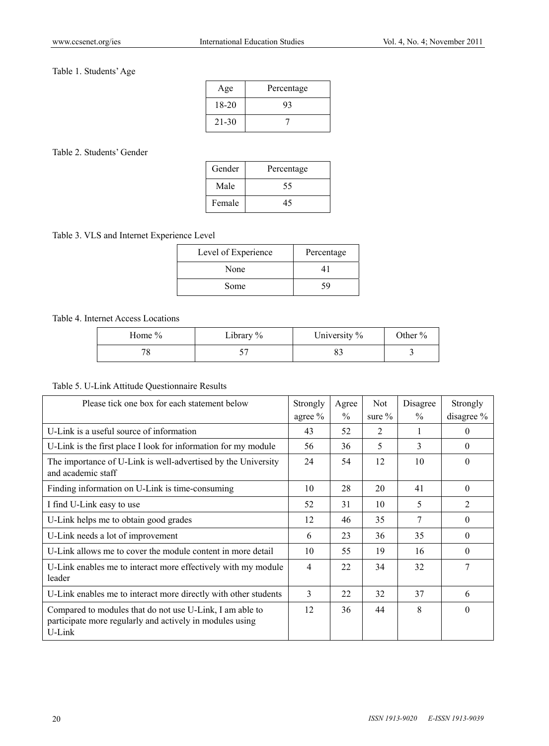# Table 1. Students' Age

| Age       | Percentage |
|-----------|------------|
| $18-20$   | 93         |
| $21 - 30$ |            |

## Table 2. Students' Gender

| Gender | Percentage |  |  |  |
|--------|------------|--|--|--|
| Male   | 55         |  |  |  |
| Female |            |  |  |  |

# Table 3. VLS and Internet Experience Level

| Level of Experience | Percentage |
|---------------------|------------|
| None                |            |
| Some                | ۲q         |

# Table 4. Internet Access Locations

| Home $\%$ | Library % | University % | Other % |
|-----------|-----------|--------------|---------|
|           |           |              |         |

# Table 5. U-Link Attitude Questionnaire Results

| Please tick one box for each statement below                                                                                      | Strongly | Agree         | <b>Not</b> | Disagree      | Strongly   |
|-----------------------------------------------------------------------------------------------------------------------------------|----------|---------------|------------|---------------|------------|
|                                                                                                                                   | agree %  | $\frac{0}{0}$ | sure $\%$  | $\frac{0}{0}$ | disagree % |
| U-Link is a useful source of information                                                                                          | 43       | 52            | 2          |               | $\theta$   |
| U-Link is the first place I look for information for my module                                                                    | 56       | 36            | 5          | 3             | $\Omega$   |
| The importance of U-Link is well-advertised by the University<br>and academic staff                                               | 24       | 54            | 12         | 10            | $\Omega$   |
| Finding information on U-Link is time-consuming                                                                                   | 10       | 28            | 20         | 41            | $\Omega$   |
| I find U-Link easy to use                                                                                                         | 52       | 31            | 10         | 5             | 2          |
| U-Link helps me to obtain good grades                                                                                             | 12       | 46            | 35         | 7             | $\Omega$   |
| U-Link needs a lot of improvement                                                                                                 | 6        | 23            | 36         | 35            | $\Omega$   |
| U-Link allows me to cover the module content in more detail                                                                       | 10       | 55            | 19         | 16            | $\Omega$   |
| U-Link enables me to interact more effectively with my module<br>leader                                                           | 4        | 22            | 34         | 32            | 7          |
| U-Link enables me to interact more directly with other students                                                                   | 3        | 22            | 32         | 37            | 6          |
| Compared to modules that do not use U-Link, I am able to<br>participate more regularly and actively in modules using<br>$U$ -Link | 12       | 36            | 44         | 8             | $\Omega$   |